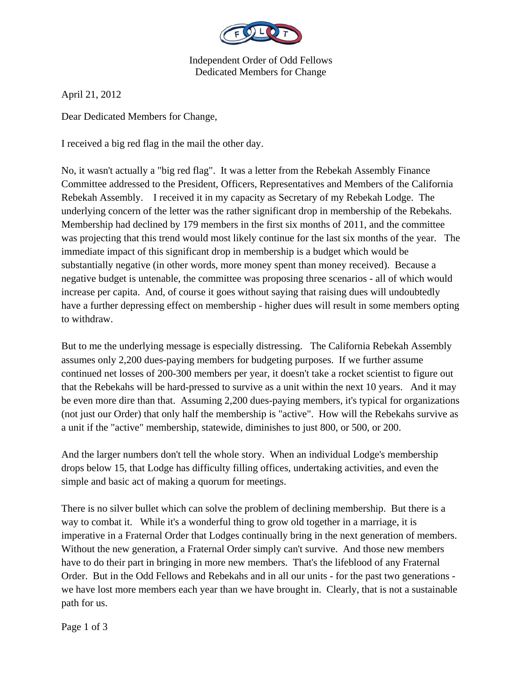

Independent Order of Odd Fellows Dedicated Members for Change

April 21, 2012

Dear Dedicated Members for Change,

I received a big red flag in the mail the other day.

No, it wasn't actually a "big red flag". It was a letter from the Rebekah Assembly Finance Committee addressed to the President, Officers, Representatives and Members of the California Rebekah Assembly. I received it in my capacity as Secretary of my Rebekah Lodge. The underlying concern of the letter was the rather significant drop in membership of the Rebekahs. Membership had declined by 179 members in the first six months of 2011, and the committee was projecting that this trend would most likely continue for the last six months of the year. The immediate impact of this significant drop in membership is a budget which would be substantially negative (in other words, more money spent than money received). Because a negative budget is untenable, the committee was proposing three scenarios - all of which would increase per capita. And, of course it goes without saying that raising dues will undoubtedly have a further depressing effect on membership - higher dues will result in some members opting to withdraw.

But to me the underlying message is especially distressing. The California Rebekah Assembly assumes only 2,200 dues-paying members for budgeting purposes. If we further assume continued net losses of 200-300 members per year, it doesn't take a rocket scientist to figure out that the Rebekahs will be hard-pressed to survive as a unit within the next 10 years. And it may be even more dire than that. Assuming 2,200 dues-paying members, it's typical for organizations (not just our Order) that only half the membership is "active". How will the Rebekahs survive as a unit if the "active" membership, statewide, diminishes to just 800, or 500, or 200.

And the larger numbers don't tell the whole story. When an individual Lodge's membership drops below 15, that Lodge has difficulty filling offices, undertaking activities, and even the simple and basic act of making a quorum for meetings.

There is no silver bullet which can solve the problem of declining membership. But there is a way to combat it. While it's a wonderful thing to grow old together in a marriage, it is imperative in a Fraternal Order that Lodges continually bring in the next generation of members. Without the new generation, a Fraternal Order simply can't survive. And those new members have to do their part in bringing in more new members. That's the lifeblood of any Fraternal Order. But in the Odd Fellows and Rebekahs and in all our units - for the past two generations we have lost more members each year than we have brought in. Clearly, that is not a sustainable path for us.

Page 1 of 3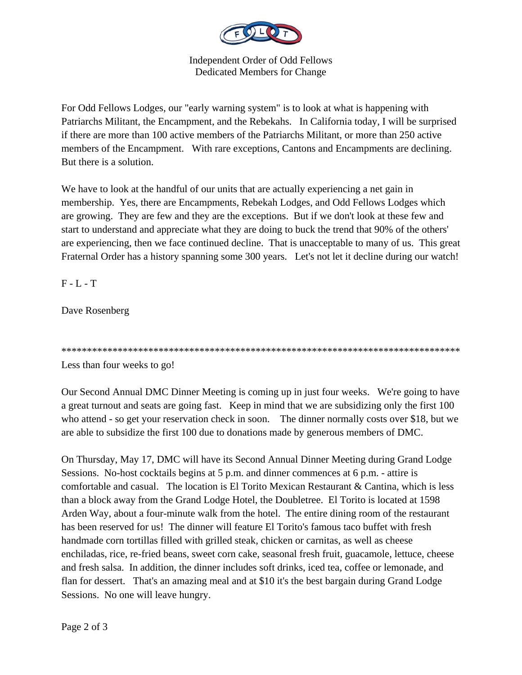

Independent Order of Odd Fellows Dedicated Members for Change

For Odd Fellows Lodges, our "early warning system" is to look at what is happening with Patriarchs Militant, the Encampment, and the Rebekahs. In California today, I will be surprised if there are more than 100 active members of the Patriarchs Militant, or more than 250 active members of the Encampment. With rare exceptions, Cantons and Encampments are declining. But there is a solution.

We have to look at the handful of our units that are actually experiencing a net gain in membership. Yes, there are Encampments, Rebekah Lodges, and Odd Fellows Lodges which are growing. They are few and they are the exceptions. But if we don't look at these few and start to understand and appreciate what they are doing to buck the trend that 90% of the others' are experiencing, then we face continued decline. That is unacceptable to many of us. This great Fraternal Order has a history spanning some 300 years. Let's not let it decline during our watch!

 $F - L - T$ 

Dave Rosenberg

\*\*\*\*\*\*\*\*\*\*\*\*\*\*\*\*\*\*\*\*\*\*\*\*\*\*\*\*\*\*\*\*\*\*\*\*\*\*\*\*\*\*\*\*\*\*\*\*\*\*\*\*\*\*\*\*\*\*\*\*\*\*\*\*\*\*\*\*\*\*\*\*\*\*\*\*\*\*

Less than four weeks to go!

Our Second Annual DMC Dinner Meeting is coming up in just four weeks. We're going to have a great turnout and seats are going fast. Keep in mind that we are subsidizing only the first 100 who attend - so get your reservation check in soon. The dinner normally costs over \$18, but we are able to subsidize the first 100 due to donations made by generous members of DMC.

On Thursday, May 17, DMC will have its Second Annual Dinner Meeting during Grand Lodge Sessions. No-host cocktails begins at 5 p.m. and dinner commences at 6 p.m. - attire is comfortable and casual. The location is El Torito Mexican Restaurant & Cantina, which is less than a block away from the Grand Lodge Hotel, the Doubletree. El Torito is located at 1598 Arden Way, about a four-minute walk from the hotel. The entire dining room of the restaurant has been reserved for us! The dinner will feature El Torito's famous taco buffet with fresh handmade corn tortillas filled with grilled steak, chicken or carnitas, as well as cheese enchiladas, rice, re-fried beans, sweet corn cake, seasonal fresh fruit, guacamole, lettuce, cheese and fresh salsa. In addition, the dinner includes soft drinks, iced tea, coffee or lemonade, and flan for dessert. That's an amazing meal and at \$10 it's the best bargain during Grand Lodge Sessions. No one will leave hungry.